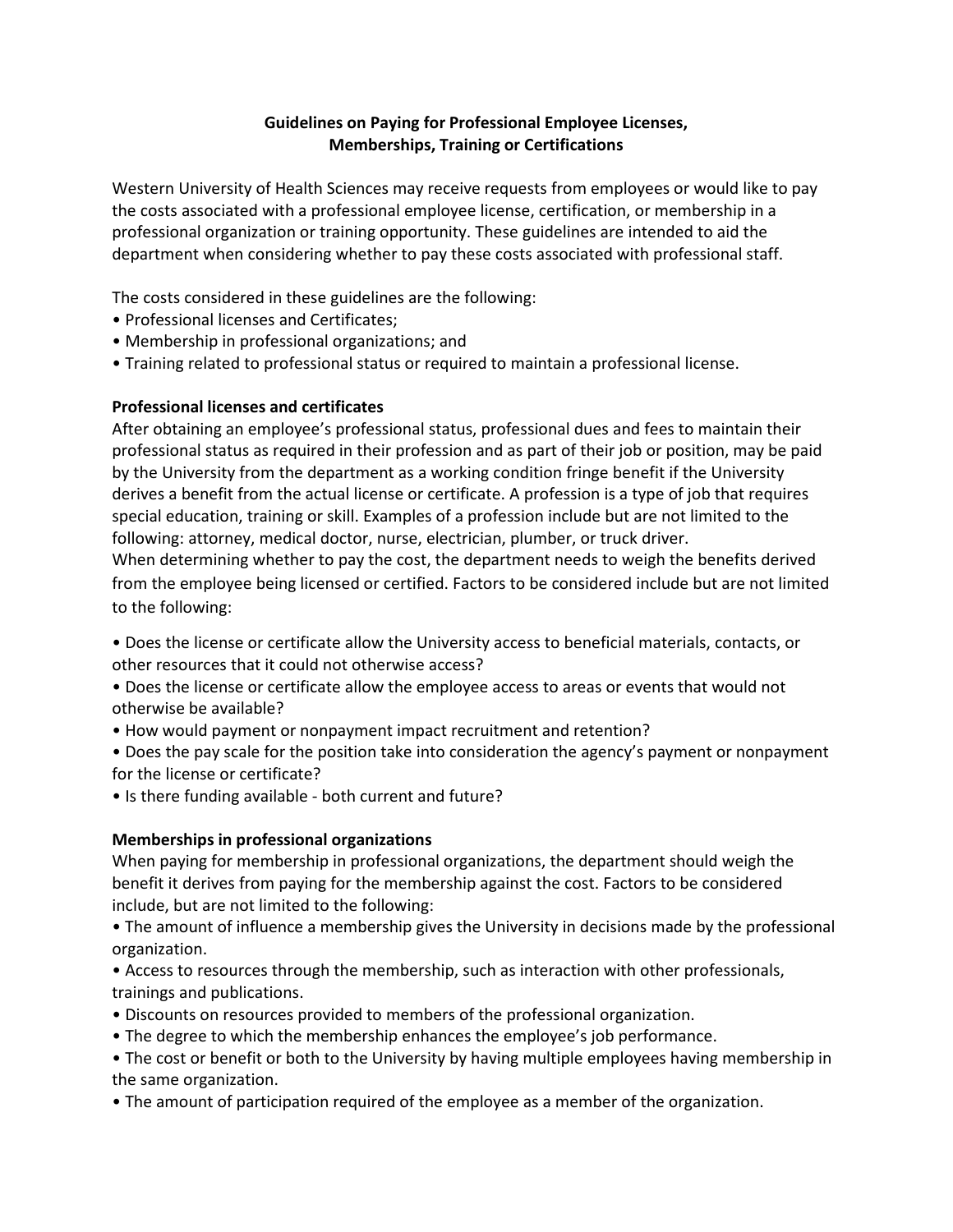## **Guidelines on Paying for Professional Employee Licenses, Memberships, Training or Certifications**

Western University of Health Sciences may receive requests from employees or would like to pay the costs associated with a professional employee license, certification, or membership in a professional organization or training opportunity. These guidelines are intended to aid the department when considering whether to pay these costs associated with professional staff.

The costs considered in these guidelines are the following:

- Professional licenses and Certificates;
- Membership in professional organizations; and
- Training related to professional status or required to maintain a professional license.

### **Professional licenses and certificates**

After obtaining an employee's professional status, professional dues and fees to maintain their professional status as required in their profession and as part of their job or position, may be paid by the University from the department as a working condition fringe benefit if the University derives a benefit from the actual license or certificate. A profession is a type of job that requires special education, training or skill. Examples of a profession include but are not limited to the following: attorney, medical doctor, nurse, electrician, plumber, or truck driver.

When determining whether to pay the cost, the department needs to weigh the benefits derived from the employee being licensed or certified. Factors to be considered include but are not limited to the following:

- Does the license or certificate allow the University access to beneficial materials, contacts, or other resources that it could not otherwise access?
- Does the license or certificate allow the employee access to areas or events that would not otherwise be available?
- How would payment or nonpayment impact recruitment and retention?
- Does the pay scale for the position take into consideration the agency's payment or nonpayment for the license or certificate?
- Is there funding available both current and future?

# **Memberships in professional organizations**

When paying for membership in professional organizations, the department should weigh the benefit it derives from paying for the membership against the cost. Factors to be considered include, but are not limited to the following:

• The amount of influence a membership gives the University in decisions made by the professional organization.

• Access to resources through the membership, such as interaction with other professionals, trainings and publications.

- Discounts on resources provided to members of the professional organization.
- The degree to which the membership enhances the employee's job performance.

• The cost or benefit or both to the University by having multiple employees having membership in the same organization.

• The amount of participation required of the employee as a member of the organization.